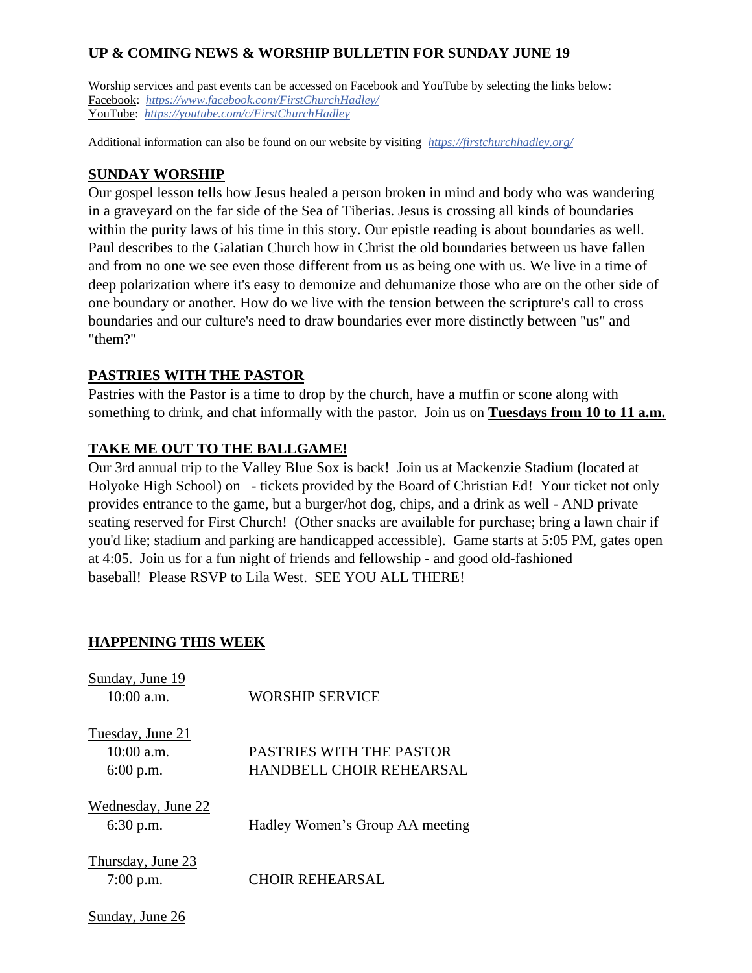# **UP & COMING NEWS & WORSHIP BULLETIN FOR SUNDAY JUNE 19**

Worship services and past events can be accessed on Facebook and YouTube by selecting the links below: Facebook: *<https://www.facebook.com/FirstChurchHadley/>* YouTube: *<https://youtube.com/c/FirstChurchHadley>*

Additional information can also be found on our website by visiting *<https://firstchurchhadley.org/>*

## **SUNDAY WORSHIP**

Our gospel lesson tells how Jesus healed a person broken in mind and body who was wandering in a graveyard on the far side of the Sea of Tiberias. Jesus is crossing all kinds of boundaries within the purity laws of his time in this story. Our epistle reading is about boundaries as well. Paul describes to the Galatian Church how in Christ the old boundaries between us have fallen and from no one we see even those different from us as being one with us. We live in a time of deep polarization where it's easy to demonize and dehumanize those who are on the other side of one boundary or another. How do we live with the tension between the scripture's call to cross boundaries and our culture's need to draw boundaries ever more distinctly between "us" and "them?"

# **PASTRIES WITH THE PASTOR**

Pastries with the Pastor is a time to drop by the church, have a muffin or scone along with something to drink, and chat informally with the pastor. Join us on **Tuesdays from 10 to 11 a.m.**

# **TAKE ME OUT TO THE BALLGAME!**

Our 3rd annual trip to the Valley Blue Sox is back! Join us at Mackenzie Stadium (located at Holyoke High School) on - tickets provided by the Board of Christian Ed! Your ticket not only provides entrance to the game, but a burger/hot dog, chips, and a drink as well - AND private seating reserved for First Church! (Other snacks are available for purchase; bring a lawn chair if you'd like; stadium and parking are handicapped accessible). Game starts at 5:05 PM, gates open at 4:05. Join us for a fun night of friends and fellowship - and good old-fashioned baseball! Please RSVP to Lila West. SEE YOU ALL THERE!

# **HAPPENING THIS WEEK**

Sunday, June 26

| Sunday, June 19<br>$10:00$ a.m.               | <b>WORSHIP SERVICE</b>                                      |
|-----------------------------------------------|-------------------------------------------------------------|
| Tuesday, June 21<br>10:00 a.m.<br>$6:00$ p.m. | PASTRIES WITH THE PASTOR<br><b>HANDBELL CHOIR REHEARSAL</b> |
| Wednesday, June 22<br>$6:30$ p.m.             | Hadley Women's Group AA meeting                             |
| Thursday, June 23<br>$7:00$ p.m.              | <b>CHOIR REHEARSAL</b>                                      |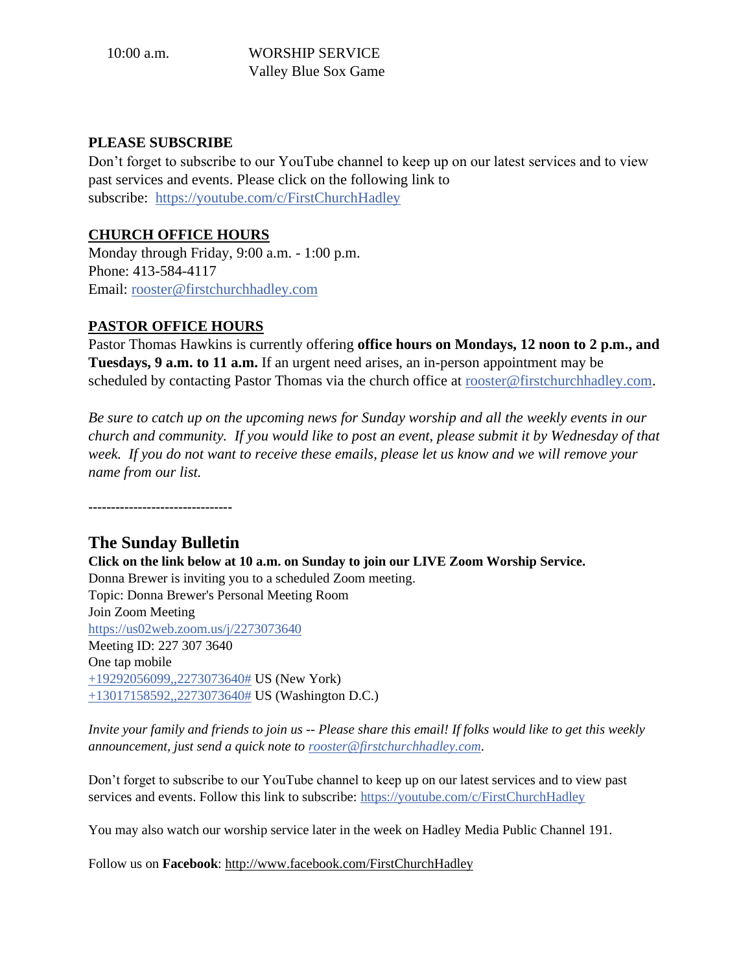10:00 a.m. WORSHIP SERVICE Valley Blue Sox Game

### **PLEASE SUBSCRIBE**

Don't forget to subscribe to our YouTube channel to keep up on our latest services and to view past services and events. Please click on the following link to subscribe: <https://youtube.com/c/FirstChurchHadley>

# **CHURCH OFFICE HOURS**

Monday through Friday, 9:00 a.m. - 1:00 p.m. Phone: 413-584-4117 Email: [rooster@firstchurchhadley.com](mailto:rooster@firstchurchhadley.com) 

# **PASTOR OFFICE HOURS**

Pastor Thomas Hawkins is currently offering **office hours on Mondays, 12 noon to 2 p.m., and Tuesdays, 9 a.m. to 11 a.m.** If an urgent need arises, an in-person appointment may be scheduled by contacting Pastor Thomas via the church office at [rooster@firstchurchhadley.com.](mailto:rooster@firstchurchhadley.com)

*Be sure to catch up on the upcoming news for Sunday worship and all the weekly events in our church and community. If you would like to post an event, please submit it by Wednesday of that week. If you do not want to receive these emails, please let us know and we will remove your name from our list.*

**--------------------------------**

# **The Sunday Bulletin**

**Click on the link below at 10 a.m. on Sunday to join our LIVE Zoom Worship Service.** Donna Brewer is inviting you to a scheduled Zoom meeting. Topic: Donna Brewer's Personal Meeting Room Join Zoom Meeting [https://us02web.zoom.us/j/2273073640](https://na01.safelinks.protection.outlook.com/?url=https%3A%2F%2Fus02web.zoom.us%2Fj%2F2273073640&data=04%7C01%7C%7C0062139f9b94440aa14908d8fec1b3bf%7C84df9e7fe9f640afb435aaaaaaaaaaaa%7C1%7C0%7C637539455201736891%7CUnknown%7CTWFpbGZsb3d8eyJWIjoiMC4wLjAwMDAiLCJQIjoiV2luMzIiLCJBTiI6Ik1haWwiLCJXVCI6Mn0%3D%7C1000&sdata=Y8bXpdnyh5G4ZxgjdGbVvf54HWDVKT9VHG%2FAL2cYV9Q%3D&reserved=0)  Meeting ID: 227 307 3640 One tap mobile [+19292056099,,2273073640#](tel:+19292056099,,2273073640%23) US (New York) [+13017158592,,2273073640#](tel:+13017158592,,2273073640%23) US (Washington D.C.)

*Invite your family and friends to join us -- Please share this email! If folks would like to get this weekly announcement, just send a quick note to [rooster@firstchurchhadley.com](mailto:rooster@firstchurchhadley.com)*.

Don't forget to subscribe to our YouTube channel to keep up on our latest services and to view past services and events. Follow this link to subscribe: [https://youtube.com/c/FirstChurchHadley](https://na01.safelinks.protection.outlook.com/?url=https%3A%2F%2Fyoutube.com%2Fc%2FFirstChurchHadley&data=04%7C01%7C%7C0062139f9b94440aa14908d8fec1b3bf%7C84df9e7fe9f640afb435aaaaaaaaaaaa%7C1%7C0%7C637539455201736891%7CUnknown%7CTWFpbGZsb3d8eyJWIjoiMC4wLjAwMDAiLCJQIjoiV2luMzIiLCJBTiI6Ik1haWwiLCJXVCI6Mn0%3D%7C1000&sdata=nS38fHenyB6%2FllOVXAaKqGgM%2Fx%2BnEYj0UoaVZTlFn%2FM%3D&reserved=0) 

You may also watch our worship service later in the week on Hadley Media Public Channel 191.

Follow us on **Facebook**: <http://www.facebook.com/FirstChurchHadley>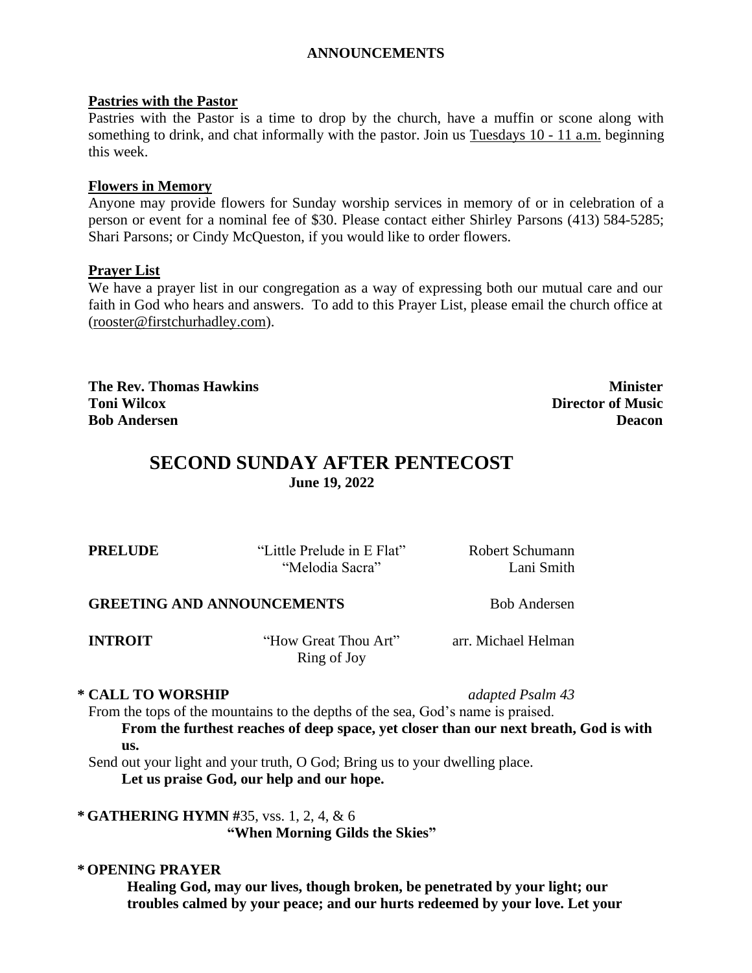# **ANNOUNCEMENTS**

#### **Pastries with the Pastor**

Pastries with the Pastor is a time to drop by the church, have a muffin or scone along with something to drink, and chat informally with the pastor. Join us Tuesdays 10 - 11 a.m. beginning this week.

### **Flowers in Memory**

Anyone may provide flowers for Sunday worship services in memory of or in celebration of a person or event for a nominal fee of \$30. Please contact either Shirley Parsons (413) 584-5285; Shari Parsons; or Cindy McQueston, if you would like to order flowers.

### **Prayer List**

We have a prayer list in our congregation as a way of expressing both our mutual care and our faith in God who hears and answers. To add to this Prayer List, please email the church office at [\(rooster@firstchurhadley.com\)](mailto:rooster@firstchurhadley.com).

**The Rev. Thomas Hawkins Minister Toni Wilcox Director of Music Bob Andersen Deacon**

# **SECOND SUNDAY AFTER PENTECOST June 19, 2022**

| <b>PRELUDE</b>                    | "Little Prelude in E Flat"<br>"Melodia Sacra" | Robert Schumann<br>Lani Smith |  |
|-----------------------------------|-----------------------------------------------|-------------------------------|--|
| <b>GREETING AND ANNOUNCEMENTS</b> |                                               | <b>Bob Andersen</b>           |  |
| <b>INTROIT</b>                    | "How Great Thou Art"                          | arr. Michael Helman           |  |

Ring of Joy

### **\* CALL TO WORSHIP** *adapted Psalm 43*

From the tops of the mountains to the depths of the sea, God's name is praised.

**From the furthest reaches of deep space, yet closer than our next breath, God is with us.**

Send out your light and your truth, O God; Bring us to your dwelling place. **Let us praise God, our help and our hope.**

**\* GATHERING HYMN #**35, vss. 1, 2, 4, & 6 **"When Morning Gilds the Skies"**

#### **\* OPENING PRAYER**

**Healing God, may our lives, though broken, be penetrated by your light; our troubles calmed by your peace; and our hurts redeemed by your love. Let your**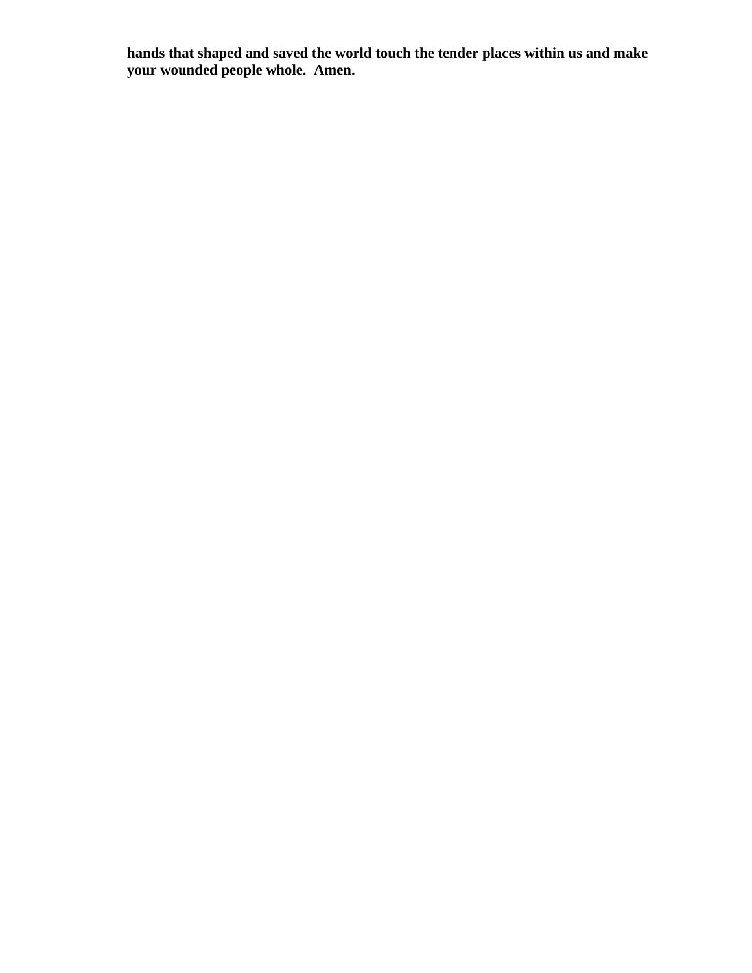**hands that shaped and saved the world touch the tender places within us and make your wounded people whole. Amen.**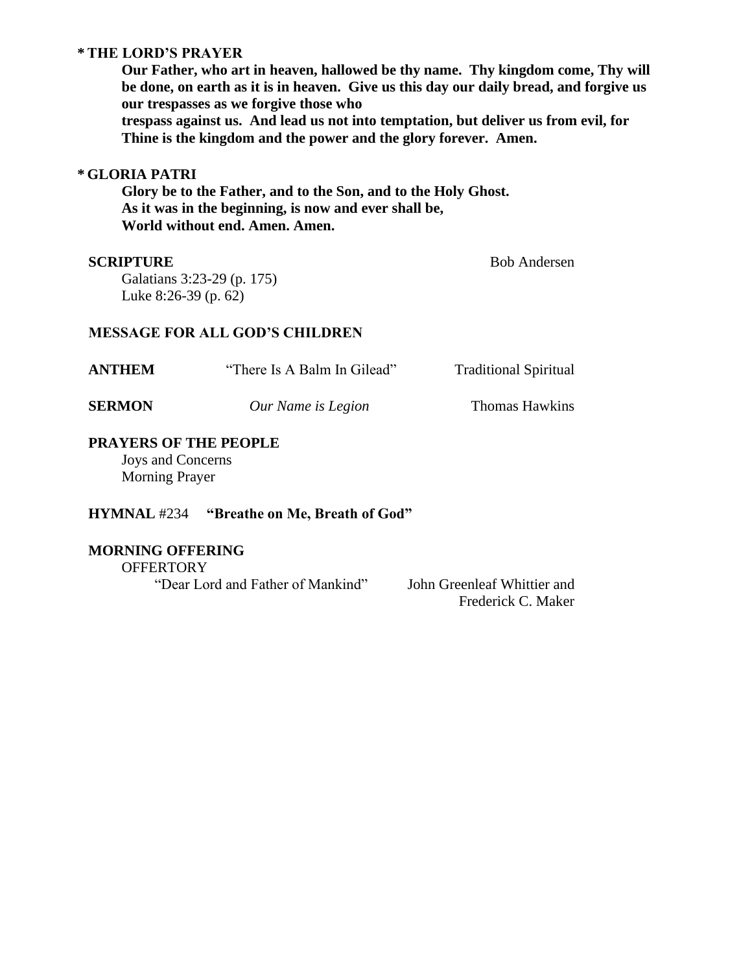### **\* THE LORD'S PRAYER**

**Our Father, who art in heaven, hallowed be thy name. Thy kingdom come, Thy will be done, on earth as it is in heaven. Give us this day our daily bread, and forgive us our trespasses as we forgive those who trespass against us. And lead us not into temptation, but deliver us from evil, for Thine is the kingdom and the power and the glory forever. Amen.**

### **\* GLORIA PATRI**

**Glory be to the Father, and to the Son, and to the Holy Ghost. As it was in the beginning, is now and ever shall be, World without end. Amen. Amen.**

#### **SCRIPTURE** Bob Andersen

Galatians 3:23-29 (p. 175) Luke 8:26-39 (p. 62)

#### **MESSAGE FOR ALL GOD'S CHILDREN**

| <b>ANTHEM</b> | "There Is A Balm In Gilead" | <b>Traditional Spiritual</b> |
|---------------|-----------------------------|------------------------------|
| <b>SERMON</b> | Our Name is Legion          | Thomas Hawkins               |

### **PRAYERS OF THE PEOPLE**

Joys and Concerns Morning Prayer

#### **HYMNAL** #234 **"Breathe on Me, Breath of God"**

### **MORNING OFFERING**

**OFFERTORY** "Dear Lord and Father of Mankind" John Greenleaf Whittier and

Frederick C. Maker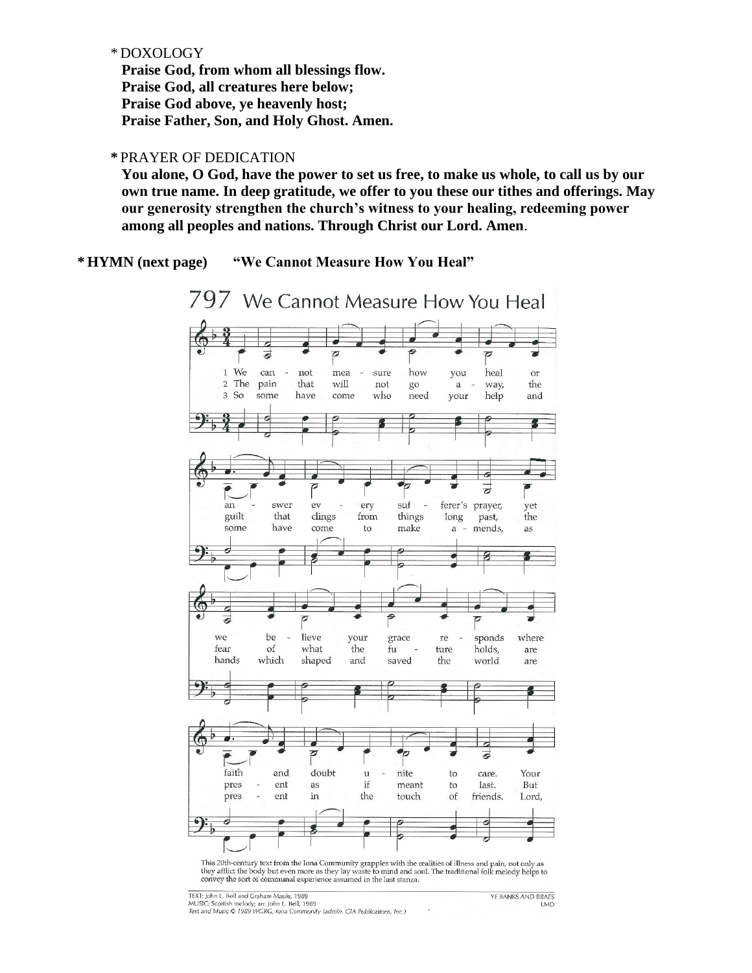#### \* DOXOLOGY

**Praise God, from whom all blessings flow. Praise God, all creatures here below; Praise God above, ye heavenly host; Praise Father, Son, and Holy Ghost. Amen.**

#### **\*** PRAYER OF DEDICATION

**You alone, O God, have the power to set us free, to make us whole, to call us by our own true name. In deep gratitude, we offer to you these our tithes and offerings. May our generosity strengthen the church's witness to your healing, redeeming power among all peoples and nations. Through Christ our Lord. Amen**.

**\* HYMN (next page) "We Cannot Measure How You Heal"**



they afflict the body but even more as they lay waste to mind and soul. The traditional folk melody helps to convey the sort of communal experience assumed in the last stanza.

| TEXT: John L. Bell and Graham Maule, 1989                                  |  | YE BANKS AND BRAFS |  |
|----------------------------------------------------------------------------|--|--------------------|--|
| MUSIC: Scottish melody; arr. John L. Bell, 1989                            |  | LMD.               |  |
| Text and Music C 1989 WGRG, Iona Community (admin. GIA Publications, Inc.) |  |                    |  |